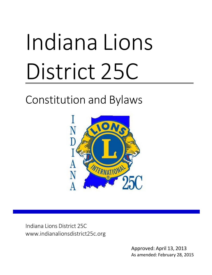# Indiana Lions District 25C

# Constitution and Bylaws



Indiana Lions District 25C [www.indianalionsdistrict25c.org](http://www.indianalionsdistrict25c.org/)

251658240

Approved: April 13, 2013 As amended: February 28, 2015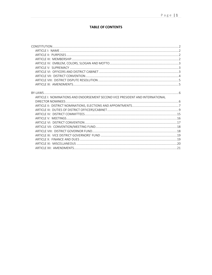# **TABLE OF CONTENTS**

| ARTICLE I: NOMINATIONS AND ENDORSEMENT SECOND VICE PRESIDENT AND INTERNATIONAL |  |
|--------------------------------------------------------------------------------|--|
|                                                                                |  |
|                                                                                |  |
|                                                                                |  |
|                                                                                |  |
|                                                                                |  |
|                                                                                |  |
|                                                                                |  |
|                                                                                |  |
|                                                                                |  |
|                                                                                |  |
|                                                                                |  |
|                                                                                |  |
|                                                                                |  |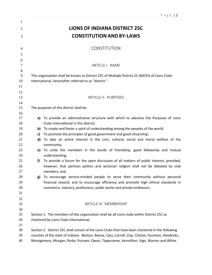<span id="page-3-3"></span><span id="page-3-2"></span><span id="page-3-1"></span><span id="page-3-0"></span>

|                     |    | Page $ 2$                                                                                           |  |  |  |  |
|---------------------|----|-----------------------------------------------------------------------------------------------------|--|--|--|--|
| 1<br>$\overline{2}$ |    | <b>LIONS OF INDIANA DISTRICT 25C</b>                                                                |  |  |  |  |
| 3                   |    | <b>CONSTITUTION AND BY-LAWS</b>                                                                     |  |  |  |  |
|                     |    |                                                                                                     |  |  |  |  |
| 4                   |    | <b>CONSTITUTION</b>                                                                                 |  |  |  |  |
| 5                   |    |                                                                                                     |  |  |  |  |
| 6                   |    |                                                                                                     |  |  |  |  |
| $\overline{7}$      |    | ARTICLE I: NAME                                                                                     |  |  |  |  |
| $\,8\,$<br>9        |    | This organization shall be known as District 25C of Multiple District 25 (MD25) of Lions Clubs      |  |  |  |  |
| 10                  |    | International, hereinafter referred to as "district."                                               |  |  |  |  |
| 11                  |    |                                                                                                     |  |  |  |  |
| 12                  |    |                                                                                                     |  |  |  |  |
| 13                  |    | <b>ARTICLE II: PURPOSES</b>                                                                         |  |  |  |  |
| 14<br>15            |    | The purposes of this district shall be:                                                             |  |  |  |  |
| 16                  |    |                                                                                                     |  |  |  |  |
| 17                  |    | a) To provide an administrative structure with which to advance the Purposes of Lions               |  |  |  |  |
| 18                  |    | Clubs International in this district;                                                               |  |  |  |  |
| 19                  |    | b) To create and foster a spirit of understanding among the peoples of the world;                   |  |  |  |  |
| 20                  | c) | To promote the principles of good government and good citizenship;                                  |  |  |  |  |
| 21                  | d) | To take an active interest in the civic, cultural, social and moral welfare of the                  |  |  |  |  |
| 22                  |    | community;                                                                                          |  |  |  |  |
| 23<br>24            |    | e) To unite the members in the bonds of friendship, good fellowship and mutual<br>understanding;    |  |  |  |  |
| 25                  | f) | To provide a forum for the open discussion of all matters of public interest; provided,             |  |  |  |  |
| 26                  |    | however, that partisan politics and sectarian religion shall not be debated by club                 |  |  |  |  |
| 27                  |    | members; and                                                                                        |  |  |  |  |
| 28                  | g) | To encourage service-minded people to serve their community without personal                        |  |  |  |  |
| 29                  |    | financial reward, and to encourage efficiency and promote high ethical standards in                 |  |  |  |  |
| 30                  |    | commerce, industry, professions, public works and private endeavors.                                |  |  |  |  |
| 31                  |    |                                                                                                     |  |  |  |  |
| 32<br>33            |    | <b>ARTICLE III: MEMBERSHIP</b>                                                                      |  |  |  |  |
| 34                  |    |                                                                                                     |  |  |  |  |
| 35                  |    | Section 1. The members of this organization shall be all Lions clubs within District 25C as         |  |  |  |  |
| 36                  |    | chartered by Lions Clubs International.                                                             |  |  |  |  |
| 37                  |    |                                                                                                     |  |  |  |  |
| 38                  |    | Section 2. District 25C shall consist of the Lions Clubs that have been chartered in the following  |  |  |  |  |
| 39                  |    | counties of the state of Indiana: Benton, Boone, Cass, Carroll, Clay, Clinton, Fountain, Hendricks, |  |  |  |  |
| 40                  |    | Montgomery, Morgan, Parke, Putnam, Owen, Tippecanoe, Vermillion, Vigo, Warren and White.            |  |  |  |  |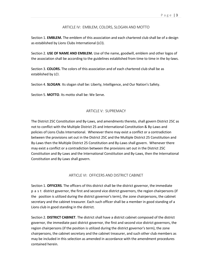## ARTICLE IV: EMBLEM, COLORS, SLOGAN AND MOTTO

<span id="page-4-0"></span>Section 1. **EMBLEM.** The emblem of this association and each chartered club shall be of a design as established by Lions Clubs International (LCI).

Section 2. **USE OF NAME AND EMBLEM.** Use of the name, goodwill, emblem and other logos of the association shall be according to the guidelines established from time to time in the by-laws.

Section 3. **COLORS.** The colors of this association and of each chartered club shall be as established by LCI.

Section 4. **SLOGAN**. Its slogan shall be: Liberty, Intelligence, and Our Nation's Safety.

Section 5. **MOTTO**. Its motto shall be: We Serve.

# ARTICLE V: SUPREMACY

<span id="page-4-1"></span>The District 25C Constitution and By-Laws, and amendments thereto, shall govern District 25C as not to conflict with the Multiple District 25 and International Constitution & By-Laws and policies of Lions Clubs International. Whenever there may exist a conflict or a contradiction between the provisions set out in the District 25C and the Multiple District 25 Constitution and By-Laws then the Multiple District 25 Constitution and By-Laws shall govern. Whenever there may exist a conflict or a contradiction between the provisions set out in the District 25C Constitution and By-Laws and the International Constitution and By-Laws, then the International Constitution and By-Laws shall govern.

## ARTICLE VI: OFFICERS AND DISTRICT CABINET

<span id="page-4-2"></span>Section 1. **OFFICERS**. The officers of this district shall be the district governor, the immediate p a s t district governor, the first and second vice district governors, the region chairpersons (if the position is utilized during the district governor's term), the zone chairpersons, the cabinet secretary and the cabinet treasurer. Each such officer shall be a member in good standing of a Lions club in good standing in the district.

Section 2. **DISTRICT CABINET**. The district shall have a district cabinet composed of the district governor, the immediate past district governor, the first and second vice district governors, the region chairpersons (if the position is utilized during the district governor's term), the zone chairpersons, the cabinet secretary and the cabinet treasurer, and such other club members as may be included in this selection as amended in accordance with the amendment procedures contained herein.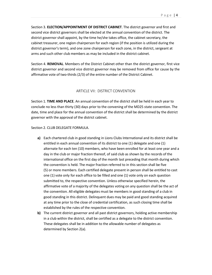Section 3. **ELECTION/APPOINTMENT OF DISTRICT CABINET**. The district governor and first and second vice district governors shall be elected at the annual convention of the district. The district governor shall appoint, by the time he/she takes office, the cabinet secretary, the cabinet treasurer, one region chairperson for each region (if the position is utilized during the district governor's term), and one zone chairperson for each zone, in the district, sergeant at arms and such other club members as may be included in the district cabinet.

Section 4. **REMOVAL**. Members of the District Cabinet other than the district governor, first vice district governor and second vice district governor may be removed from office for cause by the affirmative vote of two-thirds (2/3) of the entire number of the District Cabinet.

#### ARTICLE VII: DISTRICT CONVENTION

<span id="page-5-0"></span>Section 1. **TIME AND PLACE**. An annual convention of the district shall be held in each year to conclude no less than thirty (30) days prior to the convening of the MD25 state convention. The date, time and place for the annual convention of the district shall be determined by the district governor with the approval of the district cabinet.

#### Section 2. CLUB DELEGATE FORMULA.

- **a)** Each chartered club in good standing in Lions Clubs International and its district shall be entitled in each annual convention of its district to one (1) delegate and one (1) alternate for each ten (10) members, who have been enrolled for at least one year and a day in the club or major fraction thereof, of said club as shown by the records of the international office on the first day of the month last preceding that month during which the convention is held. The major fraction referred to in this section shall be five (5) or more members. Each certified delegate present in person shall be entitled to cast one (1) vote only for each office to be filled and one (1) vote only on each question submitted to, the respective convention. Unless otherwise specified herein, the affirmative vote of a majority of the delegates voting on any question shall be the act of the convention. All eligible delegates must be members in good standing of a club in good standing in this district. Delinquent dues may be paid and good standing acquired at any time prior to the close of credential certification, as such closing time shall be established by the rules of the respective convention.
- **b)** The current district governor and all past district governors, holding active membership in a club within the district, shall be certified as a delegate to the district convention. These delegates shall be in addition to the allowable number of delegates as determined by Section 2(a).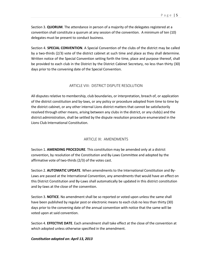Section 3. **QUORUM**. The attendance in person of a majority of the delegates registered at a convention shall constitute a quorum at any session of the convention. A minimum of ten (10) delegates must be present to conduct business.

Section 4. **SPECIAL CONVENTION**. A Special Convention of the clubs of the district may be called by a two-thirds (2/3) vote of the district cabinet at such time and place as they shall determine. Written notice of the Special Convention setting forth the time, place and purpose thereof, shall be provided to each club in the District by the District Cabinet Secretary, no less than thirty (30) days prior to the convening date of the Special Convention.

# ARTICLE VIII: DISTRICT DISPUTE RESOLUTION

<span id="page-6-0"></span>All disputes relative to membership, club boundaries, or interpretation, breach of, or application of the district constitution and by-laws, or any policy or procedure adopted from time to time by the district cabinet, or any other internal Lions district matters that cannot be satisfactorily resolved through other means, arising between any clubs in the district, or any club(s) and the district administration, shall be settled by the dispute resolution procedure enumerated in the Lions Club International Constitution.

# ARTICLE IX: AMENDMENTS

<span id="page-6-1"></span>Section 1. **AMENDING PROCEDURE**. This constitution may be amended only at a district convention, by resolution of the Constitution and By-Laws Committee and adopted by the affirmative vote of two-thirds (2/3) of the votes cast.

Section 2. **AUTOMATIC UPDATE**. When amendments to the International Constitution and By-Laws are passed at the International Convention, any amendments that would have an effect on this District Constitution and By-Laws shall automatically be updated in this district constitution and by-laws at the close of the convention.

Section 3. **NOTICE**. No amendment shall be so reported or voted upon unless the same shall have been published by regular post or electronic means to each club no less than thirty (30) days prior to the convening date of the annual convention with notice that the same will be voted upon at said convention.

Section 4. **EFFECTIVE DATE**. Each amendment shall take effect at the close of the convention at which adopted unless otherwise specified in the amendment.

# *Constitution adopted on: April 13, 2013*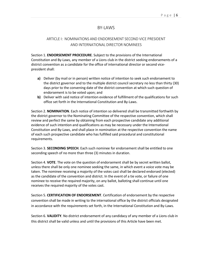# BY-LAWS

# <span id="page-7-0"></span>ARTICLE I: NOMINATIONS AND ENDORSEMENT SECOND VICE PRESIDENT AND INTERNATIONAL DIRECTOR NOMINEES

<span id="page-7-1"></span>Section 1. **ENDORSEMENT PROCEDURE**. Subject to the provisions of the International Constitution and By-Laws, any member of a Lions club in the district seeking endorsements of a district convention as a candidate for the office of international director or second vicepresident shall:

- **a)** Deliver (by mail or in person) written notice of intention to seek such endorsement to the district governor and to the multiple district council secretary no less than thirty (30) days prior to the convening date of the district convention at which such question of endorsement is to be voted upon; and
- **b)** Deliver with said notice of intention evidence of fulfillment of the qualifications for such office set forth in the International Constitution and By-Laws.

Section 2. **NOMINATION**. Each notice of intention so delivered shall be transmitted forthwith by the district governor to the Nominating Committee of the respective convention, which shall review and perfect the same by obtaining from each prospective candidate any additional evidence of such intention and qualifications as may be necessary under the International Constitution and By-Laws, and shall place in nomination at the respective convention the name of each such prospective candidate who has fulfilled said procedural and constitutional requirements.

Section 3. **SECONDING SPEECH**. Each such nominee for endorsement shall be entitled to one seconding speech of no more than three (3) minutes in duration.

Section 4. **VOTE**. The vote on the question of endorsement shall be by secret written ballot, unless there shall be only one nominee seeking the same, in which event a voice vote may be taken. The nominee receiving a majority of the votes cast shall be declared endorsed (elected) as the candidate of the convention and district. In the event of a tie vote, or failure of one nominee to receive the required majority, on any ballot, balloting shall continue until one receives the required majority of the votes cast.

Section 5. **CERTIFICATION OF ENDORSEMENT**. Certification of endorsement by the respective convention shall be made in writing to the international office by the district officials designated in accordance with the requirements set forth, in the International Constitution and By-Laws.

Section 6. **VALIDITY**. No district endorsement of any candidacy of any member of a Lions club in this district shall be valid unless and until the provisions of this Article have been met.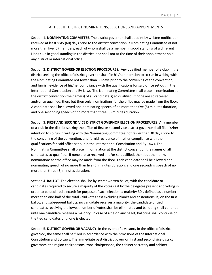## ARTICLE II: DISTRICT NOMINATIONS, ELECTIONS AND APPOINTMENTS

<span id="page-8-0"></span>Section 1. **NOMINATING COMMITTEE**. The district governor shall appoint by written notification received at least sixty (60) days prior to the district convention, a Nominating Committee of not more than five (5) members, each of whom shall be a member in good standing of a different Lions club in good standing in the district, and shall not at the time of their appointment hold any district or international office.

Section 2. **DISTRICT GOVERNOR ELECTION PROCEDURES**. Any qualified member of a club in the district seeking the office of district governor shall file his/her intention to so run in writing with the Nominating Committee not fewer than 30 days prior to the convening of the convention, and furnish evidence of his/her compliance with the qualifications for said office set out in the International Constitution and By-Laws. The Nominating Committee shall place in nomination at the district convention the name(s) of all candidate(s) so qualified. If none are so received and/or so qualified, then, but then only, nominations for the office may be made from the floor. A candidate shall be allowed one nominating speech of no more than five (5) minutes duration, and one seconding speech of no more than three (3) minutes duration.

Section 3. **FIRST AND SECOND VICE DISTRICT GOVERNOR ELECTION PROCEDURES**. Any member of a club in the district seeking the office of first or second vice district governor shall file his/her intention to so run in writing with the Nominating Committee not fewer than 30 days prior to the convening of the convention, and furnish evidence of his/her compliance with the qualifications for said office set out in the International Constitution and By-Laws. The Nominating Committee shall place in nomination at the district convention the names of all candidates so qualified. If none are so received and/or so qualified, then, but then only, nominations for the office may be made from the floor. Each candidate shall be allowed one nominating speech of no more than five (5) minutes duration, and one seconding speech of no more than three (3) minutes duration.

Section 4. **BALLOT**. The election shall be by secret written ballot, with the candidate or candidates required to secure a majority of the votes cast by the delegates present and voting in order to be declared elected; for purpose of such election, a majority 30is defined as a number more than one-half of the total valid votes cast excluding blanks and abstentions. If, on the first ballot, and subsequent ballots, no candidate receives a majority, the candidate or tied candidates receiving the lowest number of votes shall be eliminated and balloting shall continue until one candidate receives a majority. In case of a tie on any ballot, balloting shall continue on the tied candidates until one is elected.

Section 5. **DISTRICT GOVERNOR VACANCY**. In the event of a vacancy in the office of district governor, the same shall be filled in accordance with the provisions of the International Constitution and By-Laws. The immediate past district governor, first and second vice district governors, the region chairpersons, zone chairpersons, the cabinet secretary and cabinet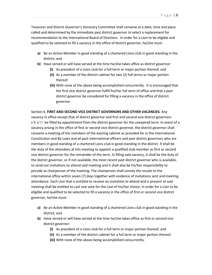Treasurer and District Governor's Honorary Committee shall convene at a date, time and place called and determined by the immediate past district governor to select a replacement for recommendation to the International Board of Directors. In order for a Lion to be eligible and qualified to be selected to fill a vacancy in the office of district governor, he/she must:

- **a)** Be an Active Member in good standing of a chartered Lions club in good standing in the district; and
- **b)** Have served or will have served at the time he/she takes office as district governor:
	- **(i)** As president of a Lions club for a full term or major portion thereof; and
	- **(ii)** As a member of the district cabinet for two (2) full terms or major portion thereof.
	- **(iii)** With none of the above being accomplished concurrently. It is encouraged that the first vice district governor fulfill his/her full term of office and that a past district governor be considered for filling a vacancy in the office of district governor.

Section 6. **FIRST AND SECOND VICE DISTRICT GOVERNORS AND OTHER VACANCIES**. Any vacancy in office except that of district governor and first and second vice district governors s h a II be filled by appointment from the district governor for the unexpired term. In event of a vacancy arising in the office of first or second vice district governor, the district governor shall convene a meeting of the members of the existing cabinet as provided for in the International Constitution and By-Laws and all past international officers and past district governors who are members in good standing of a chartered Lions club in good standing in the district. It shall be the duty of the attendees at this meeting to appoint a qualified club member as first or second vice district governor for the remainder of the term. In filling said vacancy, it shall be the duty of the district governor, or if not available, the most recent past district governor who is available, to send out invitations to attend said meeting and it shall also be his/her responsibility to preside as chairperson of the meeting. The chairperson shall convey the results to the international office within seven (7) days together with evidence of invitations sent and meeting attendance. Each Lion that is entitled to receive an invitation to attend and is present at said meeting shall be entitled to cast one vote for the Lion of his/her choice. In order for a Lion to be eligible and qualified to be selected to fill a vacancy in the office of first or second vice district governor, he/she must:

- **a)** Be an Active Member in good standing of a chartered Lions club in good standing in the district; and
- **b)** Have served or will have served at the time he/she takes office as first or second vice district governor:
	- **(i)** As president of a Lions club for a full term or major portion thereof; and
	- **(ii)** As a member of the district cabinet for a full term or major portion thereof.
	- **(iii)** With none of the above being accomplished concurrently.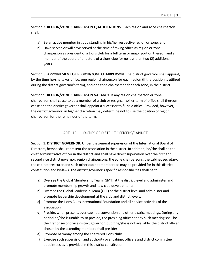Section 7. **REGION/ZONE CHAIRPERSON QUALIFICATIONS.** Each region and zone chairperson shall:

- **a)** Be an active member in good standing in his/her respective region or zone; and
- **b)** Have served or will have served at the time of taking office as region or zone chairperson as president of a Lions club for a full term or major portion thereof, and a member of the board of directors of a Lions club for no less than two (2) additional years.

Section 8. **APPOINTMENT OF REGION/ZONE CHAIRPERSON.** The district governor shall appoint, by the time he/she takes office, one region chairperson for each region (if the position is utilized during the district governor's term), and one zone chairperson for each zone, in the district.

Section 9. **REGION/ZONE CHAIRPERSON VACANCY.** If any region chairperson or zone chairperson shall cease to be a member of a club or resigns, his/her term of office shall thereon cease and the district governor shall appoint a successor to fill said office. Provided, however, the district governor, in his/her discretion may determine not to use the position of region chairperson for the remainder of the term.

# ARTICLE III: DUTIES OF DISTRICT OFFICERS/CABINET

<span id="page-10-0"></span>Section 1. **DISTRICT GOVERNOR**. Under the general supervision of the International Board of Directors, he/she shall represent the association in the district. In addition, he/she shall be the chief administrative officer in the district and shall have direct supervision over the first and second vice district governor, region chairpersons, the zone chairpersons, the cabinet secretary, the cabinet treasurer and such other cabinet members as may be provided for in this district constitution and by-laws. The district governor's specific responsibilities shall be to:

- **a)** Oversee the Global Membership Team (GMT) at the district level and administer and promote membership growth and new club development;
- **b)** Oversee the Global Leadership Team (GLT) at the district level and administer and promote leadership development at the club and district levels;
- **c)** Promote the Lions Clubs International Foundation and all service activities of the association;
- **d)** Preside, when present, over cabinet, convention and other district meetings. During any period he/she is unable to so preside, the presiding officer at any such meeting shall be the first or second vice district governor, but if he/she is not available, the district officer chosen by the attending members shall preside;
- **e)** Promote harmony among the chartered Lions clubs;
- **f)** Exercise such supervision and authority over cabinet officers and district committee appointees as is provided in this district constitution;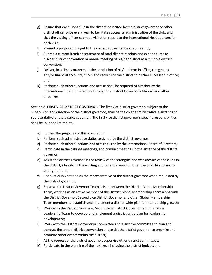- **g)** Ensure that each Lions club in the district be visited by the district governor or other district officer once every year to facilitate successful administration of the club, and that the visiting officer submit a visitation report to the International Headquarters for each visit;
- **h)** Present a proposed budget to the district at the first cabinet meeting;
- **i)** Submit a current itemized statement of total district receipts and expenditures to his/her district convention or annual meeting of his/her district at a multiple district convention;
- **j)** Deliver, in a timely manner, at the conclusion of his/her term in office, the general and/or financial accounts, funds and records of the district to his/her successor in office; and
- **k)** Perform such other functions and acts as shall be required of him/her by the International Board of Directors through the District Governor's Manual and other directives.

Section 2. **FIRST VICE DISTRICT GOVERNOR**. The first vice district governor, subject to the supervision and direction of the district governor, shall be the chief administrative assistant and representative of the district governor. The first vice district governor's specific responsibilities shall be, but not limited, to:

- **a)** Further the purposes of this association;
- **b)** Perform such administrative duties assigned by the district governor;
- **c)** Perform such other functions and acts required by the International Board of Directors;
- **d)** Participate in the cabinet meetings, and conduct meetings in the absence of the district governor;
- **e)** Assist the district governor in the review of the strengths and weaknesses of the clubs in the district, identifying the existing and potential weak clubs and establishing plans to strengthen them;
- **f)** Conduct club visitation as the representative of the district governor when requested by the district governor;
- **g)** Serve as the District Governor Team liaison between the District Global Membership Team, working as an active member of the District Global Membership Team along with the District Governor, Second vice District Governor and other Global Membership Team members to establish and implement a district-wide plan for membership growth;
- **h)** Work with the District Governor, Second vice District Governor, and the Global Leadership Team to develop and implement a district-wide plan for leadership development;
- **i)** Work with the District Convention Committee and assist the committee to plan and conduct the annual district convention and assist the district governor to organize and promote other events within the district;
- **j)** At the request of the district governor, supervise other district committees;
- **k)** Participate in the planning of the next year including the district budget; and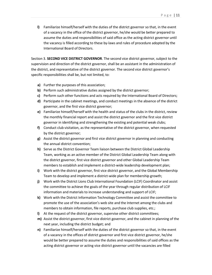**l)** Familiarize himself/herself with the duties of the district governor so that, in the event of a vacancy in the office of the district governor, he/she would be better prepared to assume the duties and responsibilities of said office asthe acting district governor until the vacancy is filled according to these by-laws and rules of procedure adopted by the International Board of Directors.

Section 3. **SECOND VICE DISTRICT GOVERNOR**. The second vice district governor, subject to the supervision and direction of the district governor, shall be an assistant in the administration of the district, and representative of the district governor. The second vice district governor's specific responsibilities shall be, but not limited, to:

- **a)** Further the purposes of this association;
- **b)** Perform such administrative duties assigned by the district governor;
- **c)** Perform such other functions and acts required by the International Board of Directors;
- **d)** Participate in the cabinet meetings, and conduct meetings in the absence of the district governor, and the first vice district governor;
- **e)** Familiarize himself/herself with the health and status of the clubs in the district, review the monthly financial report and assist the district governor and the first vice district governor in identifying and strengthening the existing and potential weak clubs;
- **f)** Conduct club visitation, as the representative of the district governor, when requested by the district governor;
- **g)** Assist the district governor and first vice district governor in planning and conducting the annual district convention;
- **h)** Serve as the District Governor Team liaison between the District Global Leadership Team, working as an active member of the District Global Leadership Team along with the district governor, first vice district governor and other Global Leadership Team members to establish and implement a district-wide leadership development plan;
- **i)** Work with the district governor, first vice district governor, and the Global Membership Team to develop and implement a district-wide plan for membership growth;
- **j)** Work with the District Lions Club International Foundation (LCIF) Coordinator and assist the committee to achieve the goals of the year through regular distribution of LCIF information and materials to increase understanding and support of LCIF;
- **k)** Work with the District Information Technology Committee and assist the committee to promote the use of the association's web site and the Internet among the clubs and members to obtain information, file reports, purchase club supplies, etc.;
- **l)** At the request of the district governor, supervise other district committees;
- **m)** Assist the district governor, first vice district governor, and the cabinet in planning of the next year, including the district budget; and
- **n)** Familiarize himself/herself with the duties of the district governor so that, in the event of a vacancy in the offices of district governor and first vice district governor, he/she would be better prepared to assume the duties and responsibilities of said offices as the acting district governor or acting vice district governor until the vacancies are filled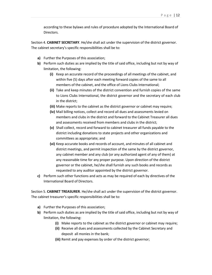according to these bylaws and rules of procedure adopted by the International Board of Directors.

Section 4. **CABINET SECRETARY**. He/she shall act under the supervision of the district governor. The cabinet secretary's specific responsibilities shall be to:

- **a)** Further the Purposes of this association;
- **b)** Perform such duties as are implied by the title of said office, including but not by way of limitation, the following:
	- **(i)** Keep an accurate record of the proceedings of all meetings of the cabinet, and within five (5) days after each meeting forward copies of the same to all members of the cabinet, and the office of Lions Clubs International;
	- **(ii)** Take and keep minutes of the district convention and furnish copies of the same to Lions Clubs International, the district governor and the secretary of each club in the district;
	- **(iii)** Make reports to the cabinet as the district governor or cabinet may require;
	- **(iv)** Mail billing notices, collect and record all dues and assessments levied on members and clubs in the district and forward to the Cabinet Treasurer all dues and assessments received from members and clubs in the district;
	- **(v)** Shall collect, record and forward to cabinet treasurer all funds payable to the district including donations to state projects and other organizations and committees as appropriate; and
	- **(vi)** Keep accurate books and records of account, and minutes of all cabinet and district meetings, and permit inspection of the same by the district governor, any cabinet member and any club (or any authorized agent of any of them) at any reasonable time for any proper purpose. Upon direction of the district governor or the cabinet, he/she shall furnish any such books and records as requested to any auditor appointed by the district governor.
- **c)** Perform such other functions and acts as may be required of each by directives of the International Board of Directors.

Section 5. **CABINET TREASURER**. He/she shall act under the supervision of the district governor. The cabinet treasurer's specific responsibilities shall be to:

- **a)** Further the Purposes of this association;
- **b)** Perform such duties as are implied by the title of said office, including but not by way of limitation, the following:
	- **(i)** Make reports to the cabinet as the district governor or cabinet may require;
	- **(ii)** Receive all dues and assessments collected by the Cabinet Secretary and deposit all monies in the bank;
	- **(iii)** Remit and pay expenses by order of the district governor;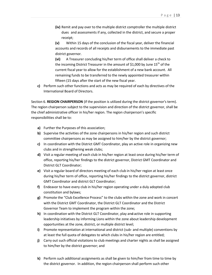**(iv)** Remit and pay over to the multiple district comptroller the multiple district dues and assessments if any, collected in the district, and secure a proper receipt;

**(v)** Within 15 days of the conclusion of the fiscal year, deliver the financial accounts and records of all receipts and disbursements to the immediate past district governor.

**(vi)** A Treasurer concluding his/her term of office shall deliver a check to the incoming District Treasurer in the amount of \$1,000 by June  $15<sup>th</sup>$  of the current fiscal year to allow for the establishment of a new bank account. All remaining funds to be transferred to the newly appointed treasurer within fifteen (15 days after the start of the new fiscal year.

**c)** Perform such other functions and acts as may be required of each by directives of the International Board of Directors.

Section 6. **REGION CHAIRPERSON** (if the position is utilized during the district governor's term). The region chairperson subject to the supervision and direction of the district governor, shall be the chief administrative officer in his/her region. The region chairperson's specific responsibilities shall be to:

- **a)** Further the Purposes of this association;
- **b)** Supervise the activities of the zone chairpersons in his/her region and such district committee chairpersons as may be assigned to him/her by the district governor;
- **c)** In coordination with the District GMT Coordinator, play an active role in organizing new clubs and in strengthening weak clubs;
- **d)** Visit a regular meeting of each club in his/her region at least once during his/her term of office, reporting his/her findings to the district governor, District GMT Coordinator and District GLT Coordinator;
- **e)** Visit a regular board of directors meeting of each club in his/her region at least once during his/her term of office, reporting his/her findings to the district governor, district GMT Coordinator and district GLT Coordinator;
- **f)** Endeavor to have every club in his/her region operating under a duly adopted club constitution and bylaws;
- **g)** Promote the "Club Excellence Process" to the clubs within the zone and work in concert with the District GMT Coordinator, the District GLT Coordinator and the District Governor Team to implement the program within the zone;
- **h)** In coordination with the District GLT Coordinator, play an<del>d</del>-active role in supporting leadership initiatives by informing Lions within the zone about leadership development opportunities at the zone, district, or multiple district level;
- **i)** Promote representation at international and district (sub- and multiple) conventions by at least the full quota of delegates to which clubs in his/her region are entitled;
- **j)** Carry out such official visitations to club meetings and charter nights as shall be assigned to him/her by the district governor; and
- **k)** Perform such additional assignments as shall be given to him/her from time to time by the district governor. In addition, the region chairperson shall perform such other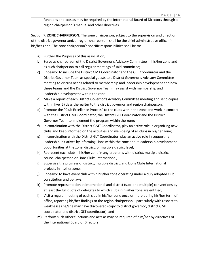functions and acts as may be required by the International Board of Directors through a region chairperson's manual and other directives.

Section 7. **ZONE CHAIRPERSON**. The zone chairperson, subject to the supervision and direction of the district governor and/or region chairperson, shall be the chief administrative officer in his/her zone. The zone chairperson's specific responsibilities shall be to:

- **a)** Further the Purposes of this association;
- **b)** Serve as chairperson of the District Governor's Advisory Committee in his/her zone and as such chairperson to call regular meetings of said committee;
- **c)** Endeavor to include the District GMT Coordinator and the GLT Coordinator and the District Governor Team as special guests to a District Governor's Advisory Committee meeting to discuss needs related to membership and leadership development and how these teams and the District Governor Team may assist with membership and leadership development within the zone;
- **d)** Make a report of each District Governor's Advisory Committee meeting and send copies within five (5) days thereafter to the district governor and region chairperson;
- **e)** Promote the "Club Excellence Process" to the clubs within the zone and work in concert with the District GMT Coordinator, the District GLT Coordinator and the District Governor Team to implement the program within the zone;
- **f)** In coordination with the District GMT Coordinator, play an active role in organizing new clubs and keep informed on the activities and well-being of all clubs in his/her zone;
- **g)** In coordination with the District GLT Coordinator, play an active role in supporting leadership initiatives by informing Lions within the zone about leadership development opportunities at the zone, district, or multiple district level;
- **h)** Represent each club in his/her zone in any problems with district, multiple district council chairperson or Lions Clubs International;
- **i)** Supervise the progress of district, multiple district, and Lions Clubs International projects in his/her zone;
- **j)** Endeavor to have every club within his/her zone operating under a duly adopted club constitution and by-laws;
- **k)** Promote representation at international and district (sub- and multiple) conventions by at least the full quota of delegates to which clubs in his/her zone are entitled;
- **l)** Visit a regular meeting of each club in his/her zone once or more during his/her term of office, reporting his/her findings to the region chairperson – particularly with respect to weaknesses he/she may have discovered (copy to district governor, district GMT coordinator and district GLT coordinator); and
- **m)** Perform such other functions and acts as may be required of him/her by directives of the International Board of Directors.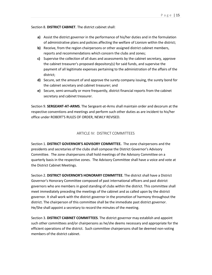Section 8. **DISTRICT CABINET**. The district cabinet shall:

- **a)** Assist the district governor in the performance of his/her duties and in the formulation of administrative plans and policies affecting the welfare of Lionism within the district;
- **b)** Receive, from the region chairpersons or other assigned district cabinet members, reports and recommendations which concern the clubs and zones;
- **c)** Supervise the collection of all dues and assessments by the cabinet secretary, approve the cabinet treasurer's proposed depository(s) for said funds, and supervise the payment of all legitimate expenses pertaining to the administration of the affairs of the district;
- **d)** Secure, set the amount of and approve the surety company issuing, the surety bond for the cabinet secretary and cabinet treasurer; and
- **e)** Secure, semi-annually or more frequently, district financial reports from the cabinet secretary and cabinet treasurer.

Section 9. **SERGEANT-AT-ARMS**. The Sergeant-at-Arms shall maintain order and decorum at the respective conventions and meetings and perform such other duties as are incident to his/her office under ROBERT'S RULES OF ORDER, NEWLY REVISED.

# ARTICLE IV: DISTRICT COMMITTEES

<span id="page-16-0"></span>Section 1. **DISTRICT GOVERNOR'S ADVISORY COMMITTEE.** The zone chairpersons and the presidents and secretaries of the clubs shall compose the District Governor's Advisory Committee. The zone chairpersons shall hold meetings of the Advisory Committee on a quarterly basis in the respective zones. The Advisory Committee shall have a voice and vote at the District Cabinet Meetings.

Section 2. **DISTRICT GOVERNOR'S HONORARY COMMITTEE**. The district shall have a District Governor's Honorary Committee composed of past international officers and past district governors who are members in good standing of clubs within the district. This committee shall meet immediately preceding the meetings of the cabinet and as called upon by the district governor. It shall work with the district governor in the promotion of harmony throughout the district. The chairperson of this committee shall be the immediate past district governor. He/She shall appoint a secretary to record the minutes of the meeting.

Section 3. **DISTRICT CABINET COMMITTEES**. The district governor may establish and appoint such other committees and/or chairpersons as he/she deems necessary and appropriate for the efficient operations of the district. Such committee chairpersons shall be deemed non-voting members of the district cabinet.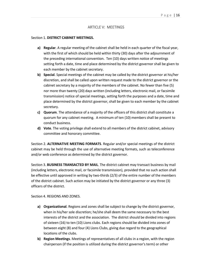#### ARTICLE V: MEETINGS

#### <span id="page-17-0"></span>Section 1. **DISTRICT CABINET MEETINGS.**

- **a) Regular**. A regular meeting of the cabinet shall be held in each quarter of the fiscal year, with the first of which should be held within thirty (30) days after the adjournment of the preceding international convention. Ten (10) days written notice of meetings setting forth a date, time and place determined by the district governor shall be given to each member by the cabinet secretary.
- **b) Special**. Special meetings of the cabinet may be called by the district governor at his/her discretion, and shall be called upon written request made to the district governor or the cabinet secretary by a majority of the members of the cabinet. No fewer than five (5) nor more than twenty (20) days written (including letters, electronic mail, or facsimile transmission) notice of special meetings, setting forth the purposes and a date, time and place determined by the district governor, shall be given to each member by the cabinet secretary.
- **c) Quorum**. The attendance of a majority of the officers of this district shall constitute a quorum for any cabinet meeting. A minimum of ten (10) members shall be present to conduct business.
- **d) Vote**. The voting privilege shall extend to all members of the district cabinet, advisory committee and honorary committee.

Section 2. **ALTERNATIVE MEETING FORMATS**. Regular and/or special meetings of the district cabinet may be held through the use of alternative meeting formats, such as teleconference and/or web conference as determined by the district governor.

Section 3. **BUSINESS TRANSACTED BY MAIL**. The district cabinet may transact business by mail (including letters, electronic mail, or facsimile transmission), provided that no such action shall be effective until approved in writing by two-thirds (2/3) of the entire number of the members of the district cabinet. Such action may be initiated by the district governor or any three (3) officers of the district.

Section 4. REGIONS AND ZONES.

- **a) Organizational**. Regions and zones shall be subject to change by the district governor, when in his/her sole discretion; he/she shall deem the same necessary to the best interests of the district and the association. The district should be divided into regions of sixteen (16) to ten (10) Lions clubs. Each regions should be divided into zones of between eight (8) and four (4) Lions Clubs, giving due regard to the geographical locations of the clubs.
- **b) Region Meetings**. Meetings of representatives of all clubs in a region, with the region chairperson (if the position is utilized during the district governor's term) or other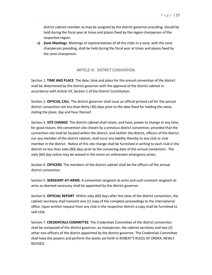district cabinet member as may be assigned by the district governor presiding, should be held during the fiscal year at times and places fixed by the region chairperson of the respective region.

**c) Zone Meetings**. Meetings of representatives of all the clubs in a zone, with the zone chairperson presiding, shall be held during the fiscal year at times and places fixed by the zone chairperson.

## ARTICLE VI: DISTRICT CONVENTION

<span id="page-18-0"></span>Section 1. **TIME AND PLACE***.* The date, time and place for the annual convention of the district shall be determined by the district governor with the approval of the district cabinet in accordance with Article VII, Section 1 of the District Constitution.

Section 2. **OFFICIAL CALL**. The district governor shall issue an official printed call for the annual district convention not less than thirty (30) days prior to the date fixed for holding the same, stating the place, day and hour thereof.

Section 3. **SITE CHANGE**. The district cabinet shall retain, and have, power to change at any time, for good reason, the convention site chosen by a previous district convention, provided that the convention site shall be located within the district, and neither the district, officers of the district nor any member of the district cabinet, shall incur any liability thereby to any club or club member in the district. Notice of this site change shall be furnished in writing to each club in the district no less than sixty (60) days prior to the convening date of the annual convention. The sixty (60) day notice may be waived in the event an unforeseen emergency arises.

Section 4. **OFFICERS**. The members of the district cabinet shall be the officers of the annual district convention.

Section 5. **SERGEANT-AT-ARMS**. A convention sergeant-at-arms and such assistant sergeant-atarms as deemed necessary shall be appointed by the district governor.

Section 6. **OFFICIAL REPORT**. Within sixty (60) days after the close of the district convention, the cabinet secretary shall transmit one (1) copy of the complete proceedings to the international office. Upon written request from any club in the respective district a copy shall be furnished to said club.

Section 7. **CREDENTIALS COMMITTEE**. The Credentials Committee of the district convention shall be composed of the district governor, as chairperson, the cabinet secretary and two (2) other non-officers of the district appointed by the district governor. The Credentials Committee shall have the powers and perform the duties set forth in ROBERT'S RULES OF ORDER, NEWLY REVISED.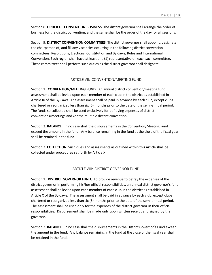Section 8. **ORDER OF CONVENTION BUSINESS**. The district governor shall arrange the order of business for the district convention, and the same shall be the order of the day for all sessions.

Section 9. **DISTRICT CONVENTION COMMITTEES**. The district governor shall appoint, designate the chairperson of, and fill any vacancies occurring in the following district convention committees: Resolutions, Elections, Constitution and By-Laws, Rules and International Convention. Each region shall have at least one (1) representative on each such committee. These committees shall perform such duties as the district governor shall designate.

#### ARTICLE VII: CONVENTION/MEETING FUND

<span id="page-19-0"></span>Section 1. **CONVENTION/MEETING FUND.** An annual district convention/meeting fund assessment shall be levied upon each member of each club in the district as established in Article IX of the By-Laws. The assessment shall be paid in advance by each club, except clubs chartered or reorganized less than six (6) months prior to the date of the semi-annual period. The funds so collected shall be used exclusively for defraying expenses of district conventions/meetings and /or the multiple district convention.

Section 2. **BALANCE.** In no case shall the disbursements in the Convention/Meeting Fund exceed the amount in the fund. Any balance remaining in the fund at the close of the fiscal year shall be retained in the fund.

Section 3. **COLLECTION**. Such dues and assessments as outlined within this Article shall be collected under procedures set forth by Article X.

## ARTICLE VIII: DISTRICT GOVERNOR FUND

<span id="page-19-1"></span>Section 1. **DISTRICT GOVERNOR FUND.** To provide revenue to defray the expenses of the district governor in performing his/her official responsibilities, an annual district governor's fund assessment shall be levied upon each member of each club in the district as established in Article X of the By-Laws. The assessment shall be paid in advance by each club, except clubs chartered or reorganized less than six (6) months prior to the date of the semi-annual period. The assessment shall be used only for the expenses of the district governor in their official responsibilities. Disbursement shall be made only upon written receipt and signed by the governor.

Section 2. **BALANCE.** In no case shall the disbursements in the District Governor's Fund exceed the amount in the fund. Any balance remaining in the fund at the close of the fiscal year shall be retained in the fund.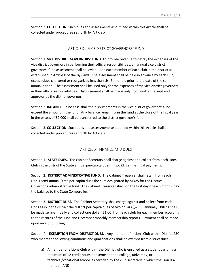Section 3. **COLLECTION.** Such dues and assessments as outlined within this Article shall be collected under procedures set forth by Article X.

# ARTICLE IX: VICE DISTRICT GOVERNORS*'* FUND

<span id="page-20-0"></span>Section 1. **VICE DISTRICT GOVERNORS' FUND.** To provide revenue to defray the expenses of the vice district governors in performing their official responsibilities, an annual vice district governors' fund assessment shall be levied upon each member of each club in the district as established in Article X of the By-Laws. The assessment shall be paid in advance by each club, except clubs chartered or reorganized less than six (6) months prior to the date of the semiannual period. The assessment shall be used only for the expenses of the vice district governors in their official responsibilities. Disbursement shall be made only upon written receipt and approval by the district governor.

Section 2. **BALANCE.** In no case shall the disbursements in the vice district governors' fund exceed the amount in the fund. Any balance remaining in the fund at the close of the fiscal year in the excess of \$2,000 shall be transferred to the district governor's fund.

Section 3. **COLLECTION.** Such dues and assessments as outlined within this Article shall be collected under procedures set forth by Article X.

# ARTICLE X: FINANCE AND DUES

<span id="page-20-1"></span>Section 1. **STATE DUES.** The Cabinet Secretary shall charge against and collect from each Lions Club in the district the State annual per-capita dues in two (2) semi-annual payments.

Section 2. **DISTRICT ADMINISTRATIVE FUND.** The Cabinet Treasurer shall retain from each Lion's semi-annual State per-capita dues the sum designated by MD25 for the District Governor's administrative fund. The Cabinet Treasurer shall, on the first day of each month, pay the balance to the State Comptroller.

Section 3. **DISTRICT DUES.** The Cabinet Secretary shall charge against and collect from each Lions Club in the district the district per-capita dues of two dollars (\$2.00) annually. Billing shall be made semi-annually and collect one dollar (\$1.00) from each club for each member according to the records of the June and December monthly membership reports. Payment shall be made upon receipt of billing.

Section 4. **EXEMPTION FROM DISTRICT DUES.** Any member of a Lions Club within District 25C who meets the following conditions and qualifications shall be exempt from district dues.

a) A member of a Lions Club within the District who is enrolled as a student carrying a minimum of 12 credit hours per semester at a college, university, or technical/vocational school, as certified by the club secretary in which the Lion is a member, AND: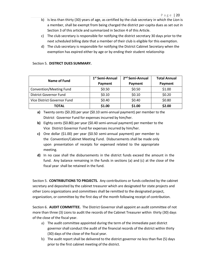- b) Is less than thirty (30) years of age, as certified by the club secretary in which the Lion is a member, shall be exempt from being charged the district per-capita dues as set out in Section 3 of this article and summarized in Section 4 of this Article.
- c) The club secretary is responsible for notifying the district secretary 30 days prior to the next scheduled billing date that a member of their club is eligible for this exemption.
- d) The club secretary is responsible for notifying the District Cabinet Secretary when the exemption has expired either by age or by ending their student relationship

## Section 5. **DISTRICT DUES SUMMARY.**

| Name of Fund                  | 1 <sup>st</sup> Semi-Annual | 2 <sup>nd</sup> Semi-Annual | <b>Total Annual</b> |
|-------------------------------|-----------------------------|-----------------------------|---------------------|
|                               | Payment                     | Payment                     | Payment             |
| Convention/Meeting Fund       | \$0.50                      | \$0.50                      | \$1.00              |
| <b>District Governor Fund</b> | \$0.10                      | \$0.10                      | \$0.20              |
| Vice District Governor Fund   | \$0.40                      | \$0.40                      | \$0.80              |
| <b>TOTAL</b>                  | \$1.00                      | \$1.00                      | \$2.00              |

**a)** Twenty cents (\$0.20) per year (\$0.10 semi-annual payment) per member to the District Governor Fund for expenses incurred by him/her.

- **b)** Eighty cents (\$0.80) per year (\$0.40 semi-annual payment) per member to the Vice District Governor Fund for expenses incurred by him/her.
- **c)** One dollar (\$1.00) per year (\$0.50 semi-annual payment) per member to the Convention/Cabinet Meeting Fund. Disbursements shall be made only upon presentation of receipts for expensed related to the appropriate meeting.
- **d)** In no case shall the disbursements in the district funds exceed the amount in the fund. Any balance remaining in the funds in sections (a) and (c) at the close of the fiscal year shall be retained in the fund.

Section 5. **CONTRIBUTIONS TO PROJECTS.** Any contributions or funds collected by the cabinet secretary and deposited by the cabinet treasurer which are designated for state projects and other Lions organizations and committees shall be remitted to the designated project, organization, or committee by the first day of the month following receipt of contribution.

Section 6. **AUDIT COMMITTEE.** The District Governorshall appoint an audit committee of not more than three (3) Lions to audit the records of the Cabinet Treasurer within thirty (30) days of the close of the fiscal year.

- a) The audit committee appointed during the term of the immediate past district governor shall conduct the audit of the financial records of the district within thirty (30) days of the close of the fiscal year.
- b) The audit report shall be delivered to the district governor no less than five (5) days prior to the first cabinet meeting of the district.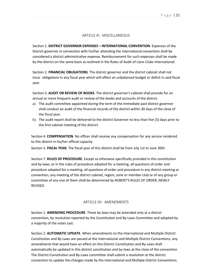#### ARTICLE XI: MISCELLANEOUS

<span id="page-22-0"></span>Section 1. **DISTRICT GOVERNOR EXPENSES – INTERNATIONAL CONVENTION**. Expenses of the District governor in connection with his/her attending the international convention shall be considered a district administrative expense. Reimbursement for such expenses shall be made by the district on the same basis as outlined in the Rules of Audit of Lions Clubs International.

Section 2. **FINANCIAL OBLIGATIONS**. The district governor and the district cabinet shall not incur obligations in any fiscal year which will affect an unbalanced budget or deficit in said fiscal year.

Section 3. **AUDIT OR REVIEW OF BOOKS**. The district governor's cabinet shall provide for an annual or more frequent audit or review of the books and accounts of the district.

- a) The audit committee appointed during the term of the immediate past district governor shall conduct an audit of the financial records of the district within 30 days of the close of the fiscal year.
- b) The audit report shall be delivered to the district Governor no less than five (5) days prior to the first cabinet meeting of the district.

Section 4. **COMPENSATION**. No officer shall receive any compensation for any service rendered to this district in his/her official capacity.

Section 5. **FISCAL YEAR**. The fiscal year of this district shall be from July 1st to June 30th.

Section 7. **RULES OF PROCEDURE**. Except as otherwise specifically provided in this constitution and by-laws, or in the rules of procedure adopted for a meeting, all questions of order and procedure adopted for a meeting, all questions of order and procedure in any district meeting or convention, any meeting of the district cabinet, region, zone or member club or of any group or committee of any one of them shall be determined by ROBERT'S RULES OF ORDER, NEWLY REVISED.

#### ARTICLE XII: AMENDMENTS

<span id="page-22-1"></span>Section 1. **AMENDING PROCEDURE**. These by-laws may be amended only at a district convention, by resolution reported by the Constitution and By-Laws Committee and adopted by a majority of the votes cast.

Section 2. **AUTOMATIC UPDATE**. When amendments to the International and Multiple District Constitution and By-Laws are passed at the International and Multiple District Conventions, any amendments that would have an effect on this District Constitution and By-Laws shall automatically be updated in this district constitution and by-laws at the close of the convention. The District Constitution and By-Laws committee shallsubmit a resolution at the district convention to update the changes made by the International and Multiple District Conventions.